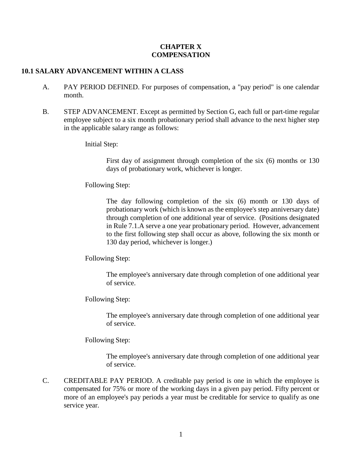### **CHAPTER X COMPENSATION**

## **10.1 SALARY ADVANCEMENT WITHIN A CLASS**

- A. PAY PERIOD DEFINED. For purposes of compensation, a "pay period" is one calendar month.
- B. STEP ADVANCEMENT. Except as permitted by Section G, each full or part-time regular employee subject to a six month probationary period shall advance to the next higher step in the applicable salary range as follows:

### Initial Step:

First day of assignment through completion of the six (6) months or 130 days of probationary work, whichever is longer.

### Following Step:

The day following completion of the six (6) month or 130 days of probationary work (which is known as the employee's step anniversary date) through completion of one additional year of service. (Positions designated in Rule 7.1.A serve a one year probationary period. However, advancement to the first following step shall occur as above, following the six month or 130 day period, whichever is longer.)

### Following Step:

The employee's anniversary date through completion of one additional year of service.

### Following Step:

The employee's anniversary date through completion of one additional year of service.

### Following Step:

The employee's anniversary date through completion of one additional year of service.

C. CREDITABLE PAY PERIOD. A creditable pay period is one in which the employee is compensated for 75% or more of the working days in a given pay period. Fifty percent or more of an employee's pay periods a year must be creditable for service to qualify as one service year.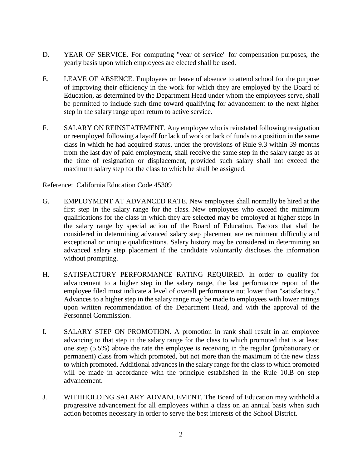- D. YEAR OF SERVICE. For computing "year of service" for compensation purposes, the yearly basis upon which employees are elected shall be used.
- E. LEAVE OF ABSENCE. Employees on leave of absence to attend school for the purpose of improving their efficiency in the work for which they are employed by the Board of Education, as determined by the Department Head under whom the employees serve, shall be permitted to include such time toward qualifying for advancement to the next higher step in the salary range upon return to active service.
- F. SALARY ON REINSTATEMENT. Any employee who is reinstated following resignation or reemployed following a layoff for lack of work or lack of funds to a position in the same class in which he had acquired status, under the provisions of Rule 9.3 within 39 months from the last day of paid employment, shall receive the same step in the salary range as at the time of resignation or displacement, provided such salary shall not exceed the maximum salary step for the class to which he shall be assigned.

Reference: California Education Code 45309

- G. EMPLOYMENT AT ADVANCED RATE. New employees shall normally be hired at the first step in the salary range for the class. New employees who exceed the minimum qualifications for the class in which they are selected may be employed at higher steps in the salary range by special action of the Board of Education. Factors that shall be considered in determining advanced salary step placement are recruitment difficulty and exceptional or unique qualifications. Salary history may be considered in determining an advanced salary step placement if the candidate voluntarily discloses the information without prompting.
- H. SATISFACTORY PERFORMANCE RATING REQUIRED. In order to qualify for advancement to a higher step in the salary range, the last performance report of the employee filed must indicate a level of overall performance not lower than "satisfactory." Advances to a higher step in the salary range may be made to employees with lower ratings upon written recommendation of the Department Head, and with the approval of the Personnel Commission.
- I. SALARY STEP ON PROMOTION. A promotion in rank shall result in an employee advancing to that step in the salary range for the class to which promoted that is at least one step (5.5%) above the rate the employee is receiving in the regular (probationary or permanent) class from which promoted, but not more than the maximum of the new class to which promoted. Additional advances in the salary range for the class to which promoted will be made in accordance with the principle established in the Rule 10.B on step advancement.
- J. WITHHOLDING SALARY ADVANCEMENT. The Board of Education may withhold a progressive advancement for all employees within a class on an annual basis when such action becomes necessary in order to serve the best interests of the School District.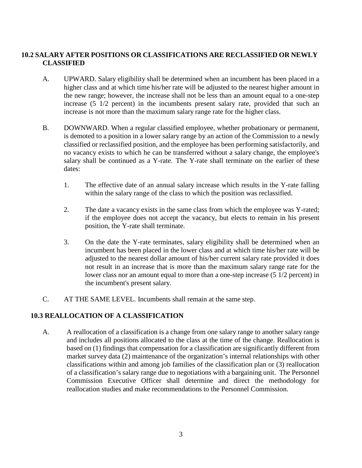# **10.2 SALARY AFTER POSITIONS OR CLASSIFICATIONS ARE RECLASSIFIED OR NEWLY CLASSIFIED**

- A. UPWARD. Salary eligibility shall be determined when an incumbent has been placed in a higher class and at which time his/her rate will be adjusted to the nearest higher amount in the new range; however, the increase shall not be less than an amount equal to a one-step increase (5 1/2 percent) in the incumbents present salary rate, provided that such an increase is not more than the maximum salary range rate for the higher class.
- B. DOWNWARD. When a regular classified employee, whether probationary or permanent, is demoted to a position in a lower salary range by an action of the Commission to a newly classified or reclassified position, and the employee has been performing satisfactorily, and no vacancy exists to which he can be transferred without a salary change, the employee's salary shall be continued as a Y-rate. The Y-rate shall terminate on the earlier of these dates:
	- 1. The effective date of an annual salary increase which results in the Y-rate falling within the salary range of the class to which the position was reclassified.
	- 2. The date a vacancy exists in the same class from which the employee was Y-rated; if the employee does not accept the vacancy, but elects to remain in his present position, the Y-rate shall terminate.
	- 3. On the date the Y-rate terminates, salary eligibility shall be determined when an incumbent has been placed in the lower class and at which time his/her rate will be adjusted to the nearest dollar amount of his/her current salary rate provided it does not result in an increase that is more than the maximum salary range rate for the lower class nor an amount equal to more than a one-step increase (5 1/2 percent) in the incumbent's present salary.
- C. AT THE SAME LEVEL. Incumbents shall remain at the same step.

# **10.3 REALLOCATION OF A CLASSIFICATION**

A. A reallocation of a classification is a change from one salary range to another salary range and includes all positions allocated to the class at the time of the change. Reallocation is based on (1) findings that compensation for a classification are significantly different from market survey data (2) maintenance of the organization's internal relationships with other classifications within and among job families of the classification plan or (3) reallocation of a classification's salary range due to negotiations with a bargaining unit. The Personnel Commission Executive Officer shall determine and direct the methodology for reallocation studies and make recommendations to the Personnel Commission.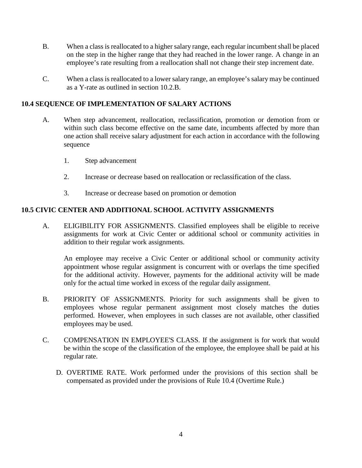- B. When a class is reallocated to a higher salary range, each regular incumbent shall be placed on the step in the higher range that they had reached in the lower range. A change in an employee's rate resulting from a reallocation shall not change their step increment date.
- C. When a class is reallocated to a lower salary range, an employee's salary may be continued as a Y-rate as outlined in section 10.2.B.

# **10.4 SEQUENCE OF IMPLEMENTATION OF SALARY ACTIONS**

- A. When step advancement, reallocation, reclassification, promotion or demotion from or within such class become effective on the same date, incumbents affected by more than one action shall receive salary adjustment for each action in accordance with the following sequence
	- 1. Step advancement
	- 2. Increase or decrease based on reallocation or reclassification of the class.
	- 3. Increase or decrease based on promotion or demotion

# **10.5 CIVIC CENTER AND ADDITIONAL SCHOOL ACTIVITY ASSIGNMENTS**

A. ELIGIBILITY FOR ASSIGNMENTS. Classified employees shall be eligible to receive assignments for work at Civic Center or additional school or community activities in addition to their regular work assignments.

An employee may receive a Civic Center or additional school or community activity appointment whose regular assignment is concurrent with or overlaps the time specified for the additional activity. However, payments for the additional activity will be made only for the actual time worked in excess of the regular daily assignment.

- B. PRIORITY OF ASSIGNMENTS. Priority for such assignments shall be given to employees whose regular permanent assignment most closely matches the duties performed. However, when employees in such classes are not available, other classified employees may be used.
- C. COMPENSATION IN EMPLOYEE'S CLASS. If the assignment is for work that would be within the scope of the classification of the employee, the employee shall be paid at his regular rate.
	- D. OVERTIME RATE. Work performed under the provisions of this section shall be compensated as provided under the provisions of Rule 10.4 (Overtime Rule.)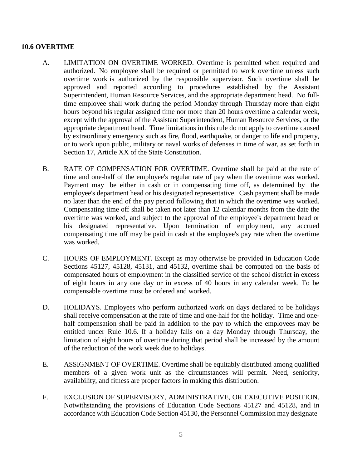### **10.6 OVERTIME**

- A. LIMITATION ON OVERTIME WORKED. Overtime is permitted when required and authorized. No employee shall be required or permitted to work overtime unless such overtime work is authorized by the responsible supervisor. Such overtime shall be approved and reported according to procedures established by the Assistant Superintendent, Human Resource Services, and the appropriate department head. No fulltime employee shall work during the period Monday through Thursday more than eight hours beyond his regular assigned time nor more than 20 hours overtime a calendar week, except with the approval of the Assistant Superintendent, Human Resource Services, or the appropriate department head. Time limitations in this rule do not apply to overtime caused by extraordinary emergency such as fire, flood, earthquake, or danger to life and property, or to work upon public, military or naval works of defenses in time of war, as set forth in Section 17, Article XX of the State Constitution.
- B. RATE OF COMPENSATION FOR OVERTIME. Overtime shall be paid at the rate of time and one-half of the employee's regular rate of pay when the overtime was worked. Payment may be either in cash or in compensating time off, as determined by the employee's department head or his designated representative. Cash payment shall be made no later than the end of the pay period following that in which the overtime was worked. Compensating time off shall be taken not later than 12 calendar months from the date the overtime was worked, and subject to the approval of the employee's department head or his designated representative. Upon termination of employment, any accrued compensating time off may be paid in cash at the employee's pay rate when the overtime was worked.
- C. HOURS OF EMPLOYMENT. Except as may otherwise be provided in Education Code Sections 45127, 45128, 45131, and 45132, overtime shall be computed on the basis of compensated hours of employment in the classified service of the school district in excess of eight hours in any one day or in excess of 40 hours in any calendar week. To be compensable overtime must be ordered and worked.
- D. HOLIDAYS. Employees who perform authorized work on days declared to be holidays shall receive compensation at the rate of time and one-half for the holiday. Time and onehalf compensation shall be paid in addition to the pay to which the employees may be entitled under Rule 10.6. If a holiday falls on a day Monday through Thursday, the limitation of eight hours of overtime during that period shall be increased by the amount of the reduction of the work week due to holidays.
- E. ASSIGNMENT OF OVERTIME. Overtime shall be equitably distributed among qualified members of a given work unit as the circumstances will permit. Need, seniority, availability, and fitness are proper factors in making this distribution.
- F. EXCLUSION OF SUPERVISORY, ADMINISTRATIVE, OR EXECUTIVE POSITION. Notwithstanding the provisions of Education Code Sections 45127 and 45128, and in accordance with Education Code Section 45130, the Personnel Commission may designate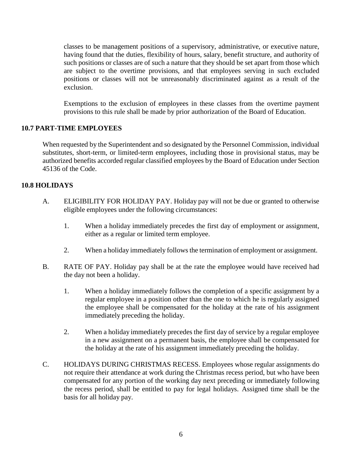classes to be management positions of a supervisory, administrative, or executive nature, having found that the duties, flexibility of hours, salary, benefit structure, and authority of such positions or classes are of such a nature that they should be set apart from those which are subject to the overtime provisions, and that employees serving in such excluded positions or classes will not be unreasonably discriminated against as a result of the exclusion.

Exemptions to the exclusion of employees in these classes from the overtime payment provisions to this rule shall be made by prior authorization of the Board of Education.

## **10.7 PART-TIME EMPLOYEES**

When requested by the Superintendent and so designated by the Personnel Commission, individual substitutes, short-term, or limited-term employees, including those in provisional status, may be authorized benefits accorded regular classified employees by the Board of Education under Section 45136 of the Code.

## **10.8 HOLIDAYS**

- A. ELIGIBILITY FOR HOLIDAY PAY. Holiday pay will not be due or granted to otherwise eligible employees under the following circumstances:
	- 1. When a holiday immediately precedes the first day of employment or assignment, either as a regular or limited term employee.
	- 2. When a holiday immediately follows the termination of employment or assignment.
- B. RATE OF PAY. Holiday pay shall be at the rate the employee would have received had the day not been a holiday.
	- 1. When a holiday immediately follows the completion of a specific assignment by a regular employee in a position other than the one to which he is regularly assigned the employee shall be compensated for the holiday at the rate of his assignment immediately preceding the holiday.
	- 2. When a holiday immediately precedes the first day of service by a regular employee in a new assignment on a permanent basis, the employee shall be compensated for the holiday at the rate of his assignment immediately preceding the holiday.
- C. HOLIDAYS DURING CHRISTMAS RECESS. Employees whose regular assignments do not require their attendance at work during the Christmas recess period, but who have been compensated for any portion of the working day next preceding or immediately following the recess period, shall be entitled to pay for legal holidays. Assigned time shall be the basis for all holiday pay.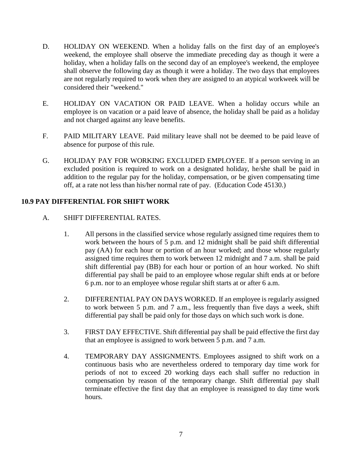- D. HOLIDAY ON WEEKEND. When a holiday falls on the first day of an employee's weekend, the employee shall observe the immediate preceding day as though it were a holiday, when a holiday falls on the second day of an employee's weekend, the employee shall observe the following day as though it were a holiday. The two days that employees are not regularly required to work when they are assigned to an atypical workweek will be considered their "weekend."
- E. HOLIDAY ON VACATION OR PAID LEAVE. When a holiday occurs while an employee is on vacation or a paid leave of absence, the holiday shall be paid as a holiday and not charged against any leave benefits.
- F. PAID MILITARY LEAVE. Paid military leave shall not be deemed to be paid leave of absence for purpose of this rule.
- G. HOLIDAY PAY FOR WORKING EXCLUDED EMPLOYEE. If a person serving in an excluded position is required to work on a designated holiday, he/she shall be paid in addition to the regular pay for the holiday, compensation, or be given compensating time off, at a rate not less than his/her normal rate of pay. (Education Code 45130.)

# **10.9 PAY DIFFERENTIAL FOR SHIFT WORK**

- A. SHIFT DIFFERENTIAL RATES.
	- 1. All persons in the classified service whose regularly assigned time requires them to work between the hours of 5 p.m. and 12 midnight shall be paid shift differential pay (AA) for each hour or portion of an hour worked; and those whose regularly assigned time requires them to work between 12 midnight and 7 a.m. shall be paid shift differential pay (BB) for each hour or portion of an hour worked. No shift differential pay shall be paid to an employee whose regular shift ends at or before 6 p.m. nor to an employee whose regular shift starts at or after 6 a.m.
	- 2. DIFFERENTIAL PAY ON DAYS WORKED. If an employee is regularly assigned to work between 5 p.m. and 7 a.m., less frequently than five days a week, shift differential pay shall be paid only for those days on which such work is done.
	- 3. FIRST DAY EFFECTIVE. Shift differential pay shall be paid effective the first day that an employee is assigned to work between 5 p.m. and 7 a.m.
	- 4. TEMPORARY DAY ASSIGNMENTS. Employees assigned to shift work on a continuous basis who are nevertheless ordered to temporary day time work for periods of not to exceed 20 working days each shall suffer no reduction in compensation by reason of the temporary change. Shift differential pay shall terminate effective the first day that an employee is reassigned to day time work hours.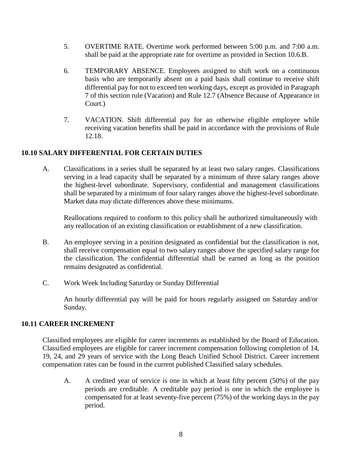- 5. OVERTIME RATE. Overtime work performed between 5:00 p.m. and 7:00 a.m. shall be paid at the appropriate rate for overtime as provided in Section 10.6.B.
- 6. TEMPORARY ABSENCE. Employees assigned to shift work on a continuous basis who are temporarily absent on a paid basis shall continue to receive shift differential pay for not to exceed ten working days, except as provided in Paragraph 7 of this section rule (Vacation) and Rule 12.7 (Absence Because of Appearance in Court.)
- 7. VACATION. Shift differential pay for an otherwise eligible employee while receiving vacation benefits shall be paid in accordance with the provisions of Rule 12.18.

# **10.10 SALARY DIFFERENTIAL FOR CERTAIN DUTIES**

A. Classifications in a series shall be separated by at least two salary ranges. Classifications serving in a lead capacity shall be separated by a minimum of three salary ranges above the highest-level subordinate. Supervisory, confidential and management classifications shall be separated by a minimum of four salary ranges above the highest-level subordinate. Market data may dictate differences above these minimums.

Reallocations required to conform to this policy shall be authorized simultaneously with any reallocation of an existing classification or establishment of a new classification.

- B. An employee serving in a position designated as confidential but the classification is not, shall receive compensation equal to two salary ranges above the specified salary range for the classification. The confidential differential shall be earned as long as the position remains designated as confidential.
- C. Work Week Including Saturday or Sunday Differential

An hourly differential pay will be paid for hours regularly assigned on Saturday and/or Sunday.

# **10.11 CAREER INCREMENT**

Classified employees are eligible for career increments as established by the Board of Education. Classified employees are eligible for career increment compensation following completion of 14, 19, 24, and 29 years of service with the Long Beach Unified School District. Career increment compensation rates can be found in the current published Classified salary schedules.

A. A credited year of service is one in which at least fifty percent (50%) of the pay periods are creditable. A creditable pay period is one in which the employee is compensated for at least seventy-five percent (75%) of the working days in the pay period.